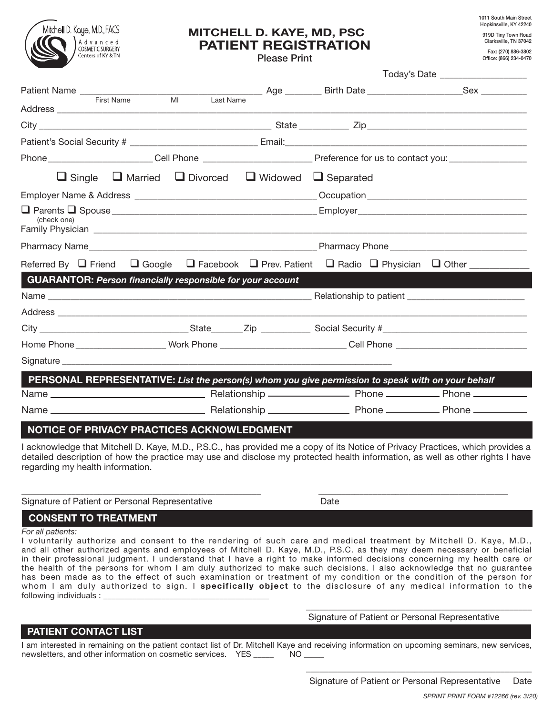

# MITCHELL D. KAYE, MD, PSC PATIENT REGISTRATION

Please Print

1011 South Main Street Hopkinsville, KY 42240 919D Tiny Town Road Clarksville, TN 37042 Fax: (270) 886-3802

Office: (866) 234-0470

|                                                                                                                |                                                                              | Today's Date ___________________ |  |  |  |  |
|----------------------------------------------------------------------------------------------------------------|------------------------------------------------------------------------------|----------------------------------|--|--|--|--|
|                                                                                                                |                                                                              |                                  |  |  |  |  |
|                                                                                                                |                                                                              |                                  |  |  |  |  |
|                                                                                                                |                                                                              |                                  |  |  |  |  |
|                                                                                                                |                                                                              |                                  |  |  |  |  |
|                                                                                                                |                                                                              |                                  |  |  |  |  |
|                                                                                                                | $\Box$ Single $\Box$ Married $\Box$ Divorced $\Box$ Widowed $\Box$ Separated |                                  |  |  |  |  |
|                                                                                                                |                                                                              |                                  |  |  |  |  |
| (check one)                                                                                                    |                                                                              |                                  |  |  |  |  |
| Pharmacy Name                                                                                                  |                                                                              |                                  |  |  |  |  |
| Referred By Q Friend Q Google Q Facebook Q Prev. Patient Q Radio Q Physician Q Other _________                 |                                                                              |                                  |  |  |  |  |
| <b>GUARANTOR: Person financially responsible for your account</b>                                              |                                                                              |                                  |  |  |  |  |
|                                                                                                                |                                                                              |                                  |  |  |  |  |
|                                                                                                                |                                                                              |                                  |  |  |  |  |
|                                                                                                                |                                                                              |                                  |  |  |  |  |
| Home Phone _______________________Work Phone ______________________________Cell Phone ________________________ |                                                                              |                                  |  |  |  |  |
|                                                                                                                |                                                                              |                                  |  |  |  |  |
| PERSONAL REPRESENTATIVE: List the person(s) whom you give permission to speak with on your behalf              |                                                                              |                                  |  |  |  |  |
|                                                                                                                |                                                                              |                                  |  |  |  |  |
|                                                                                                                |                                                                              |                                  |  |  |  |  |
| NOTICE OF PRIVACY PRACTICES ACKNOWLEDGMENT                                                                     |                                                                              |                                  |  |  |  |  |

I acknowledge that Mitchell D. Kaye, M.D., P.S.C., has provided me a copy of its Notice of Privacy Practices, which provides a detailed description of how the practice may use and disclose my protected health information, as well as other rights I have regarding my health information.

\_\_\_\_\_\_\_\_\_\_\_\_\_\_\_\_\_\_\_\_\_\_\_\_\_\_\_\_\_\_\_\_\_\_\_\_\_\_\_\_\_\_\_\_\_\_\_\_\_\_\_\_\_ \_\_\_\_\_\_\_\_\_\_\_\_\_\_\_\_\_\_\_\_\_\_\_\_\_\_\_\_\_\_\_\_\_\_\_\_\_\_\_\_\_\_

| Signature of Patient or Personal Representative | Date |
|-------------------------------------------------|------|
|                                                 |      |
|                                                 |      |

## CONSENT TO TREATMENT

*For all patients:*

I voluntarily authorize and consent to the rendering of such care and medical treatment by Mitchell D. Kaye, M.D., and all other authorized agents and employees of Mitchell D. Kaye, M.D., P.S.C. as they may deem necessary or beneficial in their professional judgment. I understand that I have a right to make informed decisions concerning my health care or the health of the persons for whom I am duly authorized to make such decisions. I also acknowledge that no guarantee has been made as to the effect of such examination or treatment of my condition or the condition of the person for whom I am duly authorized to sign. I specifically object to the disclosure of any medical information to the following individuals :

 $\overline{\phantom{a}}$  ,  $\overline{\phantom{a}}$  ,  $\overline{\phantom{a}}$  ,  $\overline{\phantom{a}}$  ,  $\overline{\phantom{a}}$  ,  $\overline{\phantom{a}}$  ,  $\overline{\phantom{a}}$  ,  $\overline{\phantom{a}}$  ,  $\overline{\phantom{a}}$  ,  $\overline{\phantom{a}}$  ,  $\overline{\phantom{a}}$  ,  $\overline{\phantom{a}}$  ,  $\overline{\phantom{a}}$  ,  $\overline{\phantom{a}}$  ,  $\overline{\phantom{a}}$  ,  $\overline{\phantom{a}}$ 

 $\overline{\phantom{a}}$  ,  $\overline{\phantom{a}}$  ,  $\overline{\phantom{a}}$  ,  $\overline{\phantom{a}}$  ,  $\overline{\phantom{a}}$  ,  $\overline{\phantom{a}}$  ,  $\overline{\phantom{a}}$  ,  $\overline{\phantom{a}}$  ,  $\overline{\phantom{a}}$  ,  $\overline{\phantom{a}}$  ,  $\overline{\phantom{a}}$  ,  $\overline{\phantom{a}}$  ,  $\overline{\phantom{a}}$  ,  $\overline{\phantom{a}}$  ,  $\overline{\phantom{a}}$  ,  $\overline{\phantom{a}}$ 

#### Signature of Patient or Personal Representative

## PATIENT CONTACT LIST

I am interested in remaining on the patient contact list of Dr. Mitchell Kaye and receiving information on upcoming seminars, new services, new services, new services, new services, new services, new services, new services newsletters, and other information on cosmetic services. YES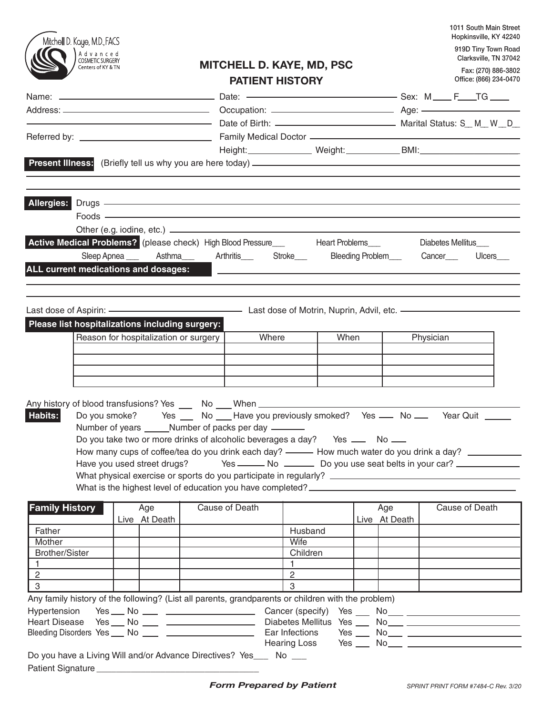|                                                 |                                                           |  |                                       |                                                                                                                                                                                                                                |                          |      |               |                   |  | 1011 South Main Street<br>Hopkinsville, KY 42240   |  |
|-------------------------------------------------|-----------------------------------------------------------|--|---------------------------------------|--------------------------------------------------------------------------------------------------------------------------------------------------------------------------------------------------------------------------------|--------------------------|------|---------------|-------------------|--|----------------------------------------------------|--|
|                                                 | Mitchell D. Koye, M.D., FACS                              |  |                                       |                                                                                                                                                                                                                                |                          |      |               |                   |  | 919D Tiny Town Road                                |  |
|                                                 | A d v a n c e d<br>COSMETIC SURGERY<br>Centers of KY & TN |  |                                       | <b>MITCHELL D. KAYE, MD, PSC</b>                                                                                                                                                                                               |                          |      |               |                   |  | Clarksville, TN 37042                              |  |
|                                                 |                                                           |  |                                       | <b>PATIENT HISTORY</b>                                                                                                                                                                                                         |                          |      |               |                   |  | Fax: (270) 886-3802<br>Office: (866) 234-0470      |  |
|                                                 |                                                           |  |                                       |                                                                                                                                                                                                                                |                          |      |               |                   |  |                                                    |  |
|                                                 |                                                           |  |                                       |                                                                                                                                                                                                                                |                          |      |               |                   |  |                                                    |  |
|                                                 |                                                           |  |                                       |                                                                                                                                                                                                                                |                          |      |               |                   |  |                                                    |  |
|                                                 |                                                           |  |                                       |                                                                                                                                                                                                                                |                          |      |               |                   |  |                                                    |  |
|                                                 |                                                           |  |                                       |                                                                                                                                                                                                                                |                          |      |               |                   |  |                                                    |  |
|                                                 |                                                           |  |                                       |                                                                                                                                                                                                                                |                          |      |               |                   |  |                                                    |  |
|                                                 |                                                           |  |                                       |                                                                                                                                                                                                                                |                          |      |               |                   |  |                                                    |  |
|                                                 |                                                           |  |                                       | Allergies: Drugs - Allergies: Allergies: Allergies: Allergies: Allergies: Allergies: Allergies: Allergies: Allergies: Allergies: Allergies: Allergies: Allergies: Allergies: Allergies: Allergies: Allergies: Allergies: Aller |                          |      |               |                   |  |                                                    |  |
|                                                 |                                                           |  |                                       |                                                                                                                                                                                                                                |                          |      |               |                   |  |                                                    |  |
|                                                 |                                                           |  |                                       |                                                                                                                                                                                                                                |                          |      |               |                   |  |                                                    |  |
|                                                 |                                                           |  |                                       |                                                                                                                                                                                                                                |                          |      |               | Diabetes Mellitus |  |                                                    |  |
|                                                 |                                                           |  |                                       | Sleep Apnea ____ Asthma____ Arthritis____ Stroke___                                                                                                                                                                            |                          |      |               |                   |  | Bleeding Problem__________Cancer________Ulcers____ |  |
|                                                 |                                                           |  |                                       |                                                                                                                                                                                                                                |                          |      |               |                   |  |                                                    |  |
|                                                 |                                                           |  |                                       | ALL current medications and dosages: All Contract Contract Contract Contract Contract Contract Contract Contract Contract Contract Contract Contract Contract Contract Contract Contract Contract Contract Contract Contract C |                          |      |               |                   |  |                                                    |  |
|                                                 |                                                           |  |                                       |                                                                                                                                                                                                                                |                          |      |               |                   |  |                                                    |  |
|                                                 |                                                           |  |                                       |                                                                                                                                                                                                                                |                          |      |               |                   |  |                                                    |  |
|                                                 |                                                           |  |                                       |                                                                                                                                                                                                                                |                          |      |               |                   |  |                                                    |  |
| Please list hospitalizations including surgery: |                                                           |  |                                       |                                                                                                                                                                                                                                |                          |      |               |                   |  |                                                    |  |
|                                                 |                                                           |  | Reason for hospitalization or surgery | Where                                                                                                                                                                                                                          |                          | When |               | Physician         |  |                                                    |  |
|                                                 |                                                           |  |                                       |                                                                                                                                                                                                                                |                          |      |               |                   |  |                                                    |  |
|                                                 |                                                           |  |                                       |                                                                                                                                                                                                                                |                          |      |               |                   |  |                                                    |  |
|                                                 |                                                           |  |                                       |                                                                                                                                                                                                                                |                          |      |               |                   |  |                                                    |  |
|                                                 |                                                           |  |                                       |                                                                                                                                                                                                                                |                          |      |               |                   |  |                                                    |  |
|                                                 |                                                           |  |                                       |                                                                                                                                                                                                                                |                          |      |               |                   |  |                                                    |  |
| Habits:                                         |                                                           |  |                                       | Do you smoke? Yes __ No __ Have you previously smoked? Yes __ No __ Year Quit ____                                                                                                                                             |                          |      |               |                   |  |                                                    |  |
|                                                 |                                                           |  |                                       | Number of years ______Number of packs per day ________                                                                                                                                                                         |                          |      |               |                   |  |                                                    |  |
|                                                 |                                                           |  |                                       | Do you take two or more drinks of alcoholic beverages a day? Yes __ No __                                                                                                                                                      |                          |      |               |                   |  |                                                    |  |
|                                                 |                                                           |  |                                       | How many cups of coffee/tea do you drink each day? - - How much water do you drink a day? _ _ _ _ _ _ _ _                                                                                                                      |                          |      |               |                   |  |                                                    |  |
|                                                 |                                                           |  |                                       | Have you used street drugs? Yes ______ No _______ Do you use seat belts in your car?                                                                                                                                           |                          |      |               |                   |  |                                                    |  |
|                                                 |                                                           |  |                                       |                                                                                                                                                                                                                                |                          |      |               |                   |  |                                                    |  |
|                                                 |                                                           |  |                                       |                                                                                                                                                                                                                                |                          |      |               |                   |  |                                                    |  |
| <b>Family History</b>                           |                                                           |  | Age                                   | Cause of Death                                                                                                                                                                                                                 |                          |      | Age           |                   |  | Cause of Death                                     |  |
|                                                 |                                                           |  | Live At Death                         |                                                                                                                                                                                                                                |                          |      | Live At Death |                   |  |                                                    |  |
| Father                                          |                                                           |  |                                       |                                                                                                                                                                                                                                | Husband                  |      |               |                   |  |                                                    |  |
| Mother                                          |                                                           |  |                                       |                                                                                                                                                                                                                                | Wife                     |      |               |                   |  |                                                    |  |
| <b>Brother/Sister</b>                           |                                                           |  |                                       |                                                                                                                                                                                                                                | Children<br>$\mathbf{1}$ |      |               |                   |  |                                                    |  |
| $\overline{2}$                                  |                                                           |  |                                       |                                                                                                                                                                                                                                | $\mathbf{2}$             |      |               |                   |  |                                                    |  |
| 3                                               |                                                           |  |                                       |                                                                                                                                                                                                                                | 3                        |      |               |                   |  |                                                    |  |
|                                                 |                                                           |  |                                       | Any family history of the following? (List all parents, grandparents or children with the problem)                                                                                                                             |                          |      |               |                   |  |                                                    |  |
| Hypertension                                    |                                                           |  |                                       |                                                                                                                                                                                                                                |                          |      |               |                   |  |                                                    |  |
|                                                 |                                                           |  |                                       |                                                                                                                                                                                                                                |                          |      |               |                   |  |                                                    |  |
|                                                 |                                                           |  |                                       | Ear Infections<br>Bleeding Disorders Yes ___ No ____ _______________________                                                                                                                                                   |                          |      |               |                   |  |                                                    |  |
|                                                 |                                                           |  |                                       |                                                                                                                                                                                                                                |                          |      |               |                   |  |                                                    |  |
|                                                 |                                                           |  |                                       | Do you have a Living Will and/or Advance Directives? Yes___ No ___                                                                                                                                                             |                          |      |               |                   |  |                                                    |  |
|                                                 |                                                           |  |                                       |                                                                                                                                                                                                                                |                          |      |               |                   |  |                                                    |  |